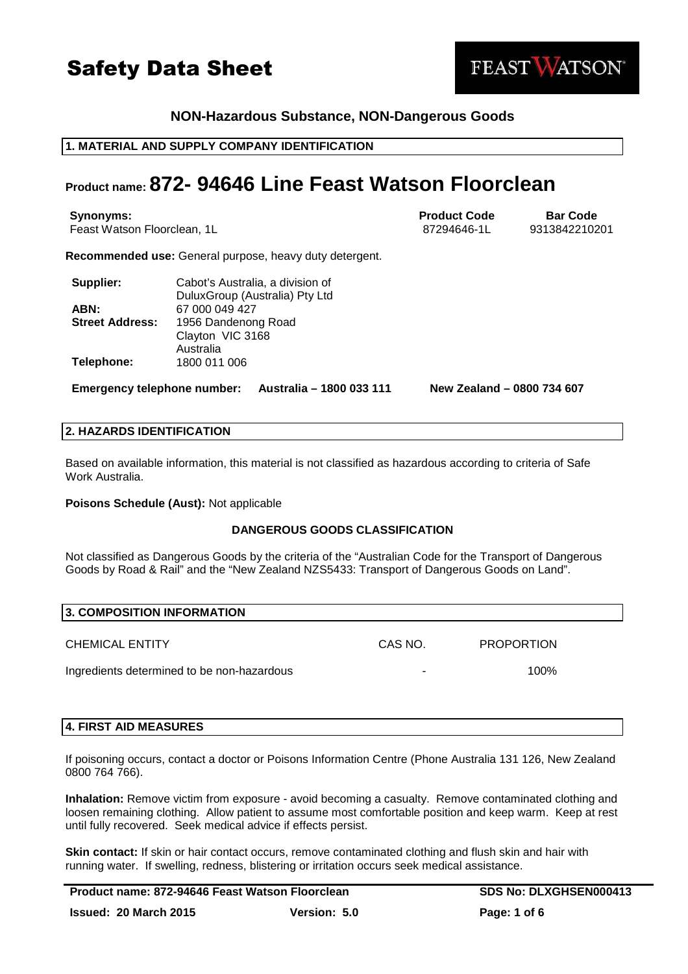### **NON-Hazardous Substance, NON-Dangerous Goods**

#### **1. MATERIAL AND SUPPLY COMPANY IDENTIFICATION**

### **Product name: 872- 94646 Line Feast Watson Floorclean**

**Synonyms: Bar Code Bar Code Bar Code Bar Code Bar Code Bar Code Bar Code** Feast Watson Floorclean, 1L and 100 and 100 and 100 and 100 and 100 and 100 and 100 and 100 and 100 and 100 and 100 and 100 and 100 and 100 and 100 and 100 and 100 and 100 and 100 and 100 and 100 and 100 and 100 and 100 an

**Recommended use:** General purpose, heavy duty detergent.

| Supplier:              | Cabot's Australia, a division of |
|------------------------|----------------------------------|
|                        | DuluxGroup (Australia) Pty Ltd   |
| ABN:                   | 67 000 049 427                   |
| <b>Street Address:</b> | 1956 Dandenong Road              |
|                        | Clayton VIC 3168                 |
|                        | Australia                        |
| Telephone:             | 1800 011 006                     |

**Emergency telephone number: Australia – 1800 033 111 New Zealand – 0800 734 607**

#### **2. HAZARDS IDENTIFICATION**

Based on available information, this material is not classified as hazardous according to criteria of Safe Work Australia.

**Poisons Schedule (Aust):** Not applicable

#### **DANGEROUS GOODS CLASSIFICATION**

Not classified as Dangerous Goods by the criteria of the "Australian Code for the Transport of Dangerous Goods by Road & Rail" and the "New Zealand NZS5433: Transport of Dangerous Goods on Land".

#### **3. COMPOSITION INFORMATION**

CHEMICAL ENTITY CAS NO. PROPORTION

Ingredients determined to be non-hazardous - 100%

#### **4. FIRST AID MEASURES**

If poisoning occurs, contact a doctor or Poisons Information Centre (Phone Australia 131 126, New Zealand 0800 764 766).

**Inhalation:** Remove victim from exposure - avoid becoming a casualty. Remove contaminated clothing and loosen remaining clothing. Allow patient to assume most comfortable position and keep warm. Keep at rest until fully recovered. Seek medical advice if effects persist.

**Skin contact:** If skin or hair contact occurs, remove contaminated clothing and flush skin and hair with running water. If swelling, redness, blistering or irritation occurs seek medical assistance.

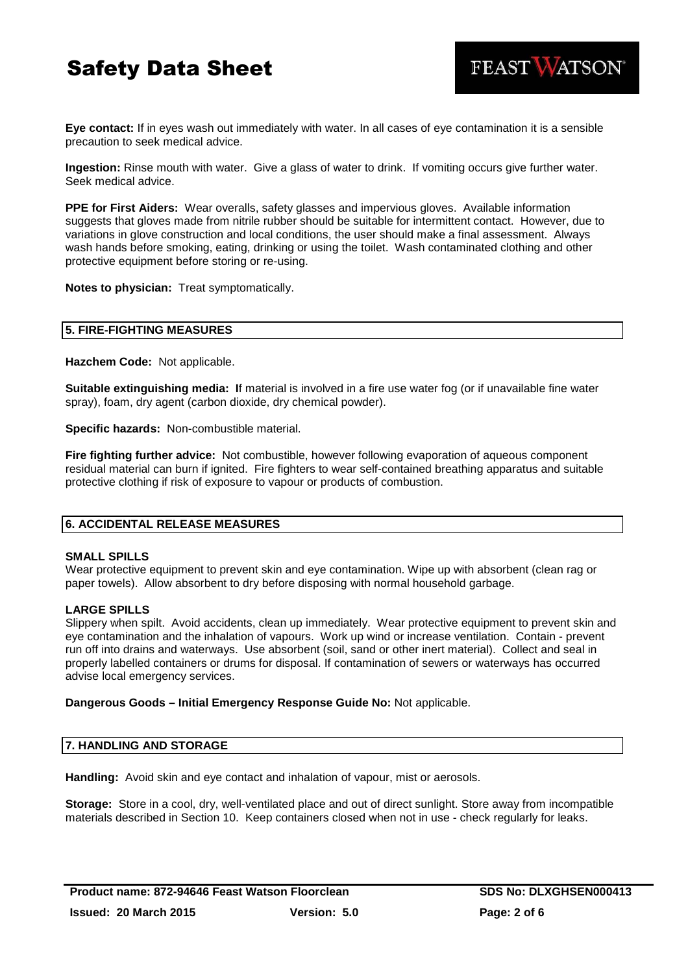FEAST WATSON®

**Eye contact:** If in eyes wash out immediately with water. In all cases of eye contamination it is a sensible precaution to seek medical advice.

**Ingestion:** Rinse mouth with water. Give a glass of water to drink. If vomiting occurs give further water. Seek medical advice.

**PPE for First Aiders:** Wear overalls, safety glasses and impervious gloves. Available information suggests that gloves made from nitrile rubber should be suitable for intermittent contact. However, due to variations in glove construction and local conditions, the user should make a final assessment. Always wash hands before smoking, eating, drinking or using the toilet. Wash contaminated clothing and other protective equipment before storing or re-using.

**Notes to physician:** Treat symptomatically.

#### **5. FIRE-FIGHTING MEASURES**

**Hazchem Code:** Not applicable.

**Suitable extinguishing media: I**f material is involved in a fire use water fog (or if unavailable fine water spray), foam, dry agent (carbon dioxide, dry chemical powder).

**Specific hazards:** Non-combustible material.

**Fire fighting further advice:** Not combustible, however following evaporation of aqueous component residual material can burn if ignited. Fire fighters to wear self-contained breathing apparatus and suitable protective clothing if risk of exposure to vapour or products of combustion.

#### **6. ACCIDENTAL RELEASE MEASURES**

#### **SMALL SPILLS**

Wear protective equipment to prevent skin and eye contamination. Wipe up with absorbent (clean rag or paper towels). Allow absorbent to dry before disposing with normal household garbage.

#### **LARGE SPILLS**

Slippery when spilt. Avoid accidents, clean up immediately. Wear protective equipment to prevent skin and eye contamination and the inhalation of vapours. Work up wind or increase ventilation. Contain - prevent run off into drains and waterways. Use absorbent (soil, sand or other inert material). Collect and seal in properly labelled containers or drums for disposal. If contamination of sewers or waterways has occurred advise local emergency services.

#### **Dangerous Goods – Initial Emergency Response Guide No:** Not applicable.

#### **7. HANDLING AND STORAGE**

**Handling:** Avoid skin and eye contact and inhalation of vapour, mist or aerosols.

**Storage:** Store in a cool, dry, well-ventilated place and out of direct sunlight. Store away from incompatible materials described in Section 10. Keep containers closed when not in use - check regularly for leaks.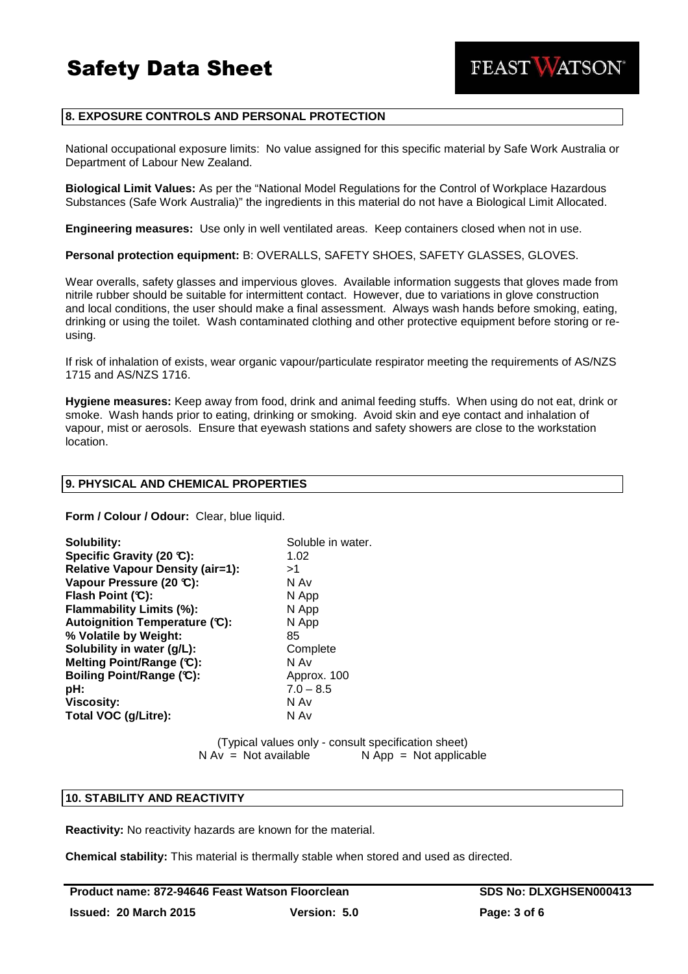

#### **8. EXPOSURE CONTROLS AND PERSONAL PROTECTION**

National occupational exposure limits: No value assigned for this specific material by Safe Work Australia or Department of Labour New Zealand.

**Biological Limit Values:** As per the "National Model Regulations for the Control of Workplace Hazardous Substances (Safe Work Australia)" the ingredients in this material do not have a Biological Limit Allocated.

**Engineering measures:** Use only in well ventilated areas. Keep containers closed when not in use.

**Personal protection equipment:** B: OVERALLS, SAFETY SHOES, SAFETY GLASSES, GLOVES.

Wear overalls, safety glasses and impervious gloves. Available information suggests that gloves made from nitrile rubber should be suitable for intermittent contact. However, due to variations in glove construction and local conditions, the user should make a final assessment. Always wash hands before smoking, eating, drinking or using the toilet. Wash contaminated clothing and other protective equipment before storing or reusing.

If risk of inhalation of exists, wear organic vapour/particulate respirator meeting the requirements of AS/NZS 1715 and AS/NZS 1716.

**Hygiene measures:** Keep away from food, drink and animal feeding stuffs. When using do not eat, drink or smoke. Wash hands prior to eating, drinking or smoking. Avoid skin and eye contact and inhalation of vapour, mist or aerosols. Ensure that eyewash stations and safety showers are close to the workstation location.

#### **9. PHYSICAL AND CHEMICAL PROPERTIES**

**Form / Colour / Odour:** Clear, blue liquid.

| Solubility:                             | Soluble in water. |
|-----------------------------------------|-------------------|
| Specific Gravity (20 °C):               | 1.02              |
| <b>Relative Vapour Density (air=1):</b> | >1                |
| Vapour Pressure (20 °C):                | N Av              |
| Flash Point (C):                        | N App             |
| Flammability Limits (%):                | N App             |
| Autoignition Temperature (C):           | N App             |
| % Volatile by Weight:                   | 85                |
| Solubility in water (g/L):              | Complete          |
| Melting Point/Range (C):                | N Av              |
| Boiling Point/Range (C):                | Approx. 100       |
| pH:                                     | $7.0 - 8.5$       |
| <b>Viscosity:</b>                       | N Av              |
| Total VOC (g/Litre):                    | N Av              |

(Typical values only - consult specification sheet)  $N Av = Not available$   $N App = Not applicable$ 

#### **10. STABILITY AND REACTIVITY**

**Reactivity:** No reactivity hazards are known for the material.

**Chemical stability:** This material is thermally stable when stored and used as directed.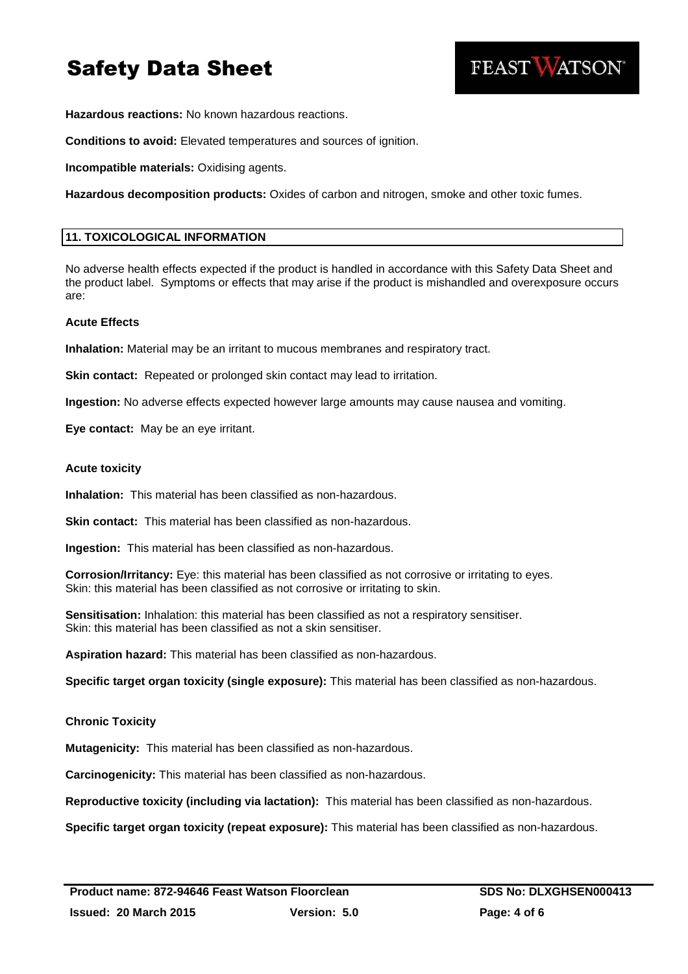

**Hazardous reactions:** No known hazardous reactions.

**Conditions to avoid:** Elevated temperatures and sources of ignition.

**Incompatible materials:** Oxidising agents.

**Hazardous decomposition products:** Oxides of carbon and nitrogen, smoke and other toxic fumes.

#### **11. TOXICOLOGICAL INFORMATION**

No adverse health effects expected if the product is handled in accordance with this Safety Data Sheet and the product label. Symptoms or effects that may arise if the product is mishandled and overexposure occurs are:

#### **Acute Effects**

**Inhalation:** Material may be an irritant to mucous membranes and respiratory tract.

**Skin contact:** Repeated or prolonged skin contact may lead to irritation.

**Ingestion:** No adverse effects expected however large amounts may cause nausea and vomiting.

**Eye contact:** May be an eye irritant.

#### **Acute toxicity**

**Inhalation:** This material has been classified as non-hazardous.

**Skin contact:** This material has been classified as non-hazardous.

**Ingestion:** This material has been classified as non-hazardous.

**Corrosion/Irritancy:** Eye: this material has been classified as not corrosive or irritating to eyes. Skin: this material has been classified as not corrosive or irritating to skin.

**Sensitisation:** Inhalation: this material has been classified as not a respiratory sensitiser. Skin: this material has been classified as not a skin sensitiser.

**Aspiration hazard:** This material has been classified as non-hazardous.

**Specific target organ toxicity (single exposure):** This material has been classified as non-hazardous.

#### **Chronic Toxicity**

**Mutagenicity:** This material has been classified as non-hazardous.

**Carcinogenicity:** This material has been classified as non-hazardous.

**Reproductive toxicity (including via lactation):** This material has been classified as non-hazardous.

**Specific target organ toxicity (repeat exposure):** This material has been classified as non-hazardous.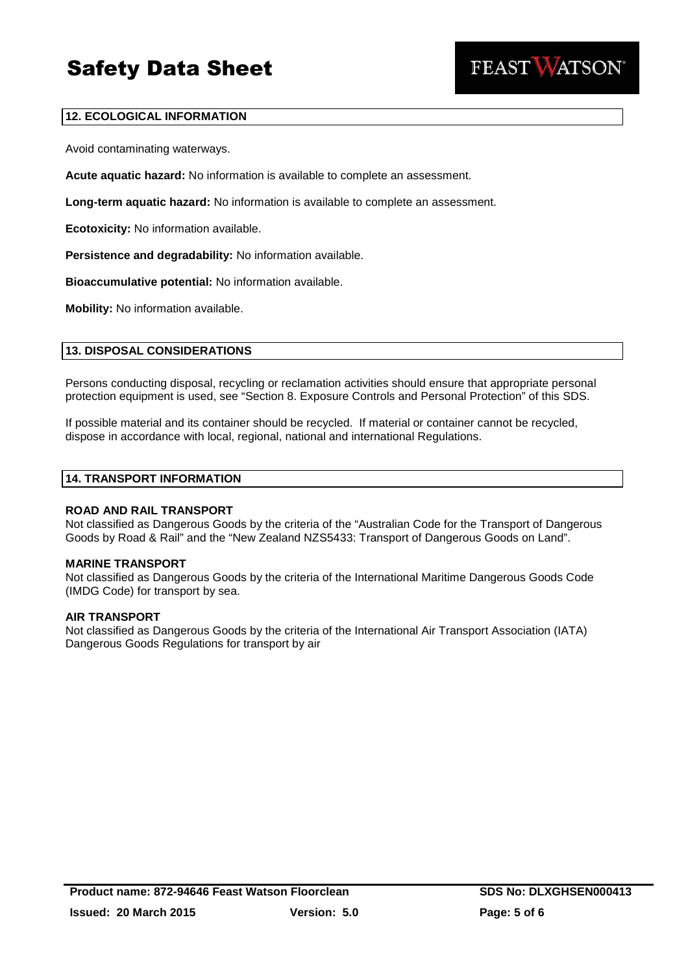

#### **12. ECOLOGICAL INFORMATION**

Avoid contaminating waterways.

**Acute aquatic hazard:** No information is available to complete an assessment.

**Long-term aquatic hazard:** No information is available to complete an assessment.

**Ecotoxicity:** No information available.

**Persistence and degradability:** No information available.

**Bioaccumulative potential:** No information available.

**Mobility:** No information available.

#### **13. DISPOSAL CONSIDERATIONS**

Persons conducting disposal, recycling or reclamation activities should ensure that appropriate personal protection equipment is used, see "Section 8. Exposure Controls and Personal Protection" of this SDS.

If possible material and its container should be recycled. If material or container cannot be recycled, dispose in accordance with local, regional, national and international Regulations.

#### **14. TRANSPORT INFORMATION**

#### **ROAD AND RAIL TRANSPORT**

Not classified as Dangerous Goods by the criteria of the "Australian Code for the Transport of Dangerous Goods by Road & Rail" and the "New Zealand NZS5433: Transport of Dangerous Goods on Land".

#### **MARINE TRANSPORT**

Not classified as Dangerous Goods by the criteria of the International Maritime Dangerous Goods Code (IMDG Code) for transport by sea.

#### **AIR TRANSPORT**

Not classified as Dangerous Goods by the criteria of the International Air Transport Association (IATA) Dangerous Goods Regulations for transport by air